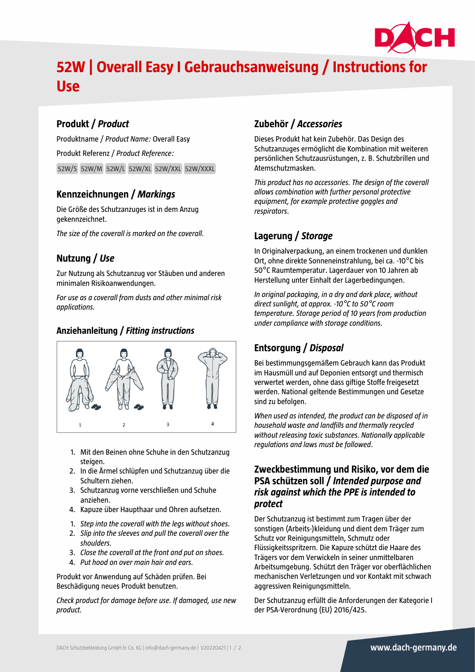

# **52W | Overall Easy I Gebrauchsanweisung / Instructions for Use**

## **Produkt /** *Product*

Produktname / *Product Name:* Overall Easy Produkt Referenz / *Product Reference:* 52W/S 52W/M 52W/L 52W/XL 52W/XXL 52W/XXXL

## **Kennzeichnungen /** *Markings*

Die Größe des Schutzanzuges ist in dem Anzug gekennzeichnet.

*The size of the coverall is marked on the coverall.*

## **Nutzung /** *Use*

Zur Nutzung als Schutzanzug vor Stäuben und anderen minimalen Risikoanwendungen.

*For use as a coverall from dusts and other minimal risk applications.*

#### **Anziehanleitung /** *Fitting instructions*



- 1. Mit den Beinen ohne Schuhe in den Schutzanzug steigen.
- 2. In die Ärmel schlüpfen und Schutzanzug über die Schultern ziehen.
- 3. Schutzanzug vorne verschließen und Schuhe anziehen.
- 4. Kapuze über Haupthaar und Ohren aufsetzen.
- 1. *Step into the coverall with the legs without shoes.*
- 2. *Slip into the sleeves and pull the coverall over the shoulders.*
- 3. *Close the coverall at the front and put on shoes.*
- 4. *Put hood on over main hair and ears.*

Produkt vor Anwendung auf Schäden prüfen. Bei Beschädigung neues Produkt benutzen.

*Check product for damage before use. If damaged, use new product.*

# **Zubehör /** *Accessories*

Dieses Produkt hat kein Zubehör. Das Design des Schutzanzuges ermöglicht die Kombination mit weiteren persönlichen Schutzausrüstungen, z. B. Schutzbrillen und Atemschutzmasken.

*This product has no accessories. The design of the coverall allows combination with further personal protective equipment, for example protective goggles and respirators*.

## **Lagerung /** *Storage*

In Originalverpackung, an einem trockenen und dunklen Ort, ohne direkte Sonneneinstrahlung, bei ca. -10°C bis 50°C Raumtemperatur. Lagerdauer von 10 Jahren ab Herstellung unter Einhalt der Lagerbedingungen.

*In original packaging, in a dry and dark place, without direct sunlight, at approx. -10°C to 50°C room temperature. Storage period of 10 years from production under compliance with storage conditions.*

# **Entsorgung /** *Disposal*

Bei bestimmungsgemäßem Gebrauch kann das Produkt im Hausmüll und auf Deponien entsorgt und thermisch verwertet werden, ohne dass giftige Stoffe freigesetzt werden. National geltende Bestimmungen und Gesetze sind zu befolgen.

*When used as intended, the product can be disposed of in household waste and landfills and thermally recycled without releasing toxic substances. Nationally applicable regulations and laws must be followed*.

#### **Zweckbestimmung und Risiko, vor dem die PSA schützen soll /** *Intended purpose and risk against which the PPE is intended to protect*

Der Schutzanzug ist bestimmt zum Tragen über der sonstigen (Arbeits-)kleidung und dient dem Träger zum Schutz vor Reinigungsmitteln, Schmutz oder Flüssigkeitsspritzern. Die Kapuze schützt die Haare des Trägers vor dem Verwickeln in seiner unmittelbaren Arbeitsumgebung. Schützt den Träger vor oberflächlichen mechanischen Verletzungen und vor Kontakt mit schwach aggressiven Reinigungsmitteln.

Der Schutzanzug erfüllt die Anforderungen der Kategorie I der PSA-Verordnung (EU) 2016/425.